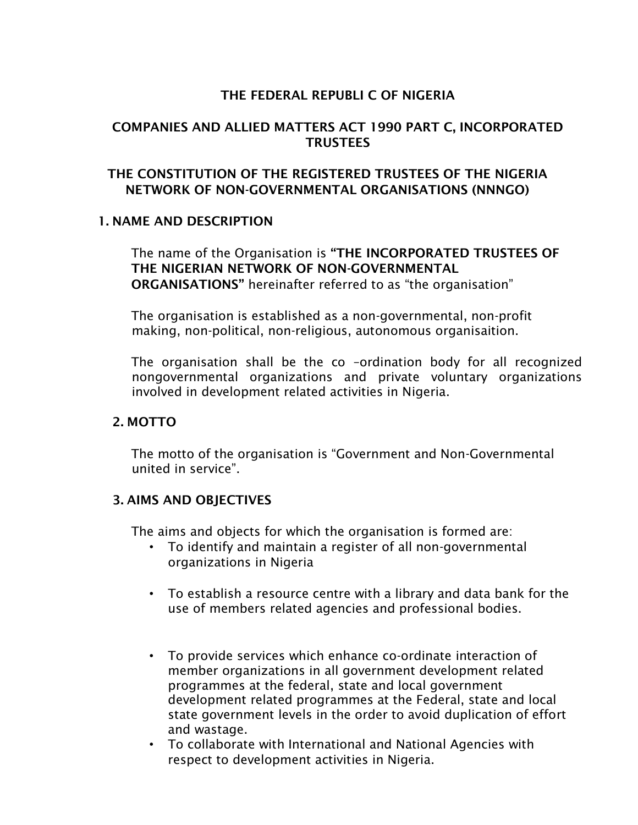#### THE FEDERAL REPUBLI C OF NIGERIA

#### COMPANIES AND ALLIED MATTERS ACT 1990 PART C, INCORPORATED **TRUSTEES**

### THE CONSTITUTION OF THE REGISTERED TRUSTEES OF THE NIGERIA NETWORK OF NON-GOVERNMENTAL ORGANISATIONS (NNNGO)

#### 1. NAME AND DESCRIPTION

The name of the Organisation is "THE INCORPORATED TRUSTEES OF THE NIGERIAN NETWORK OF NON-GOVERNMENTAL ORGANISATIONS" hereinafter referred to as "the organisation"

The organisation is established as a non-governmental, non-profit making, non-political, non-religious, autonomous organisaition.

The organisation shall be the co –ordination body for all recognized nongovernmental organizations and private voluntary organizations involved in development related activities in Nigeria.

#### 2. MOTTO

The motto of the organisation is "Government and Non-Governmental united in service".

#### 3. AIMS AND OBJECTIVES

The aims and objects for which the organisation is formed are:

- To identify and maintain a register of all non-governmental organizations in Nigeria
- To establish a resource centre with a library and data bank for the use of members related agencies and professional bodies.
- To provide services which enhance co-ordinate interaction of member organizations in all government development related programmes at the federal, state and local government development related programmes at the Federal, state and local state government levels in the order to avoid duplication of effort and wastage.
- To collaborate with International and National Agencies with respect to development activities in Nigeria.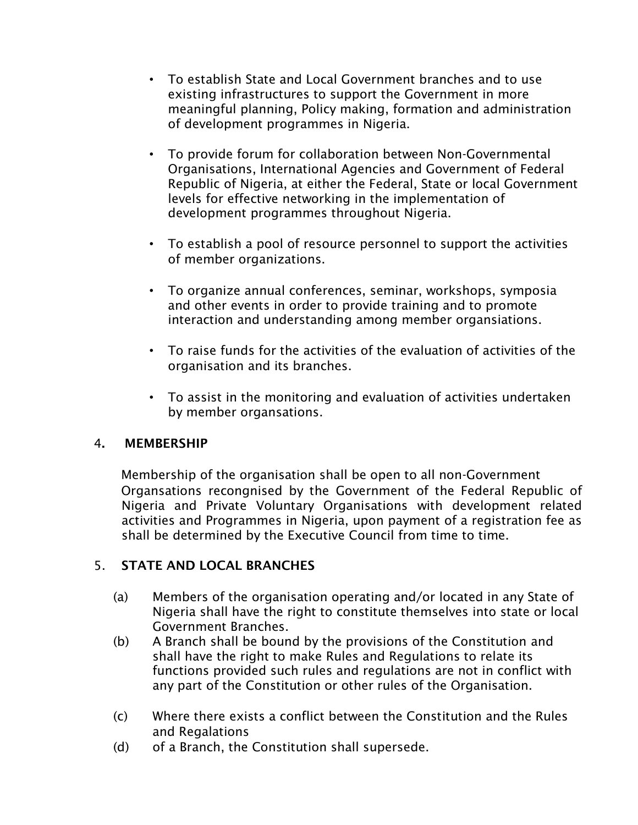- To establish State and Local Government branches and to use existing infrastructures to support the Government in more meaningful planning, Policy making, formation and administration of development programmes in Nigeria.
- To provide forum for collaboration between Non-Governmental Organisations, International Agencies and Government of Federal Republic of Nigeria, at either the Federal, State or local Government levels for effective networking in the implementation of development programmes throughout Nigeria.
- To establish a pool of resource personnel to support the activities of member organizations.
- To organize annual conferences, seminar, workshops, symposia and other events in order to provide training and to promote interaction and understanding among member organsiations.
- To raise funds for the activities of the evaluation of activities of the organisation and its branches.
- To assist in the monitoring and evaluation of activities undertaken by member organsations.

## 4. MEMBERSHIP

Membership of the organisation shall be open to all non-Government Organsations recongnised by the Government of the Federal Republic of Nigeria and Private Voluntary Organisations with development related activities and Programmes in Nigeria, upon payment of a registration fee as shall be determined by the Executive Council from time to time.

## 5. STATE AND LOCAL BRANCHES

- (a) Members of the organisation operating and/or located in any State of Nigeria shall have the right to constitute themselves into state or local Government Branches.
- (b) A Branch shall be bound by the provisions of the Constitution and shall have the right to make Rules and Regulations to relate its functions provided such rules and regulations are not in conflict with any part of the Constitution or other rules of the Organisation.
- (c) Where there exists a conflict between the Constitution and the Rules and Regalations
- (d) of a Branch, the Constitution shall supersede.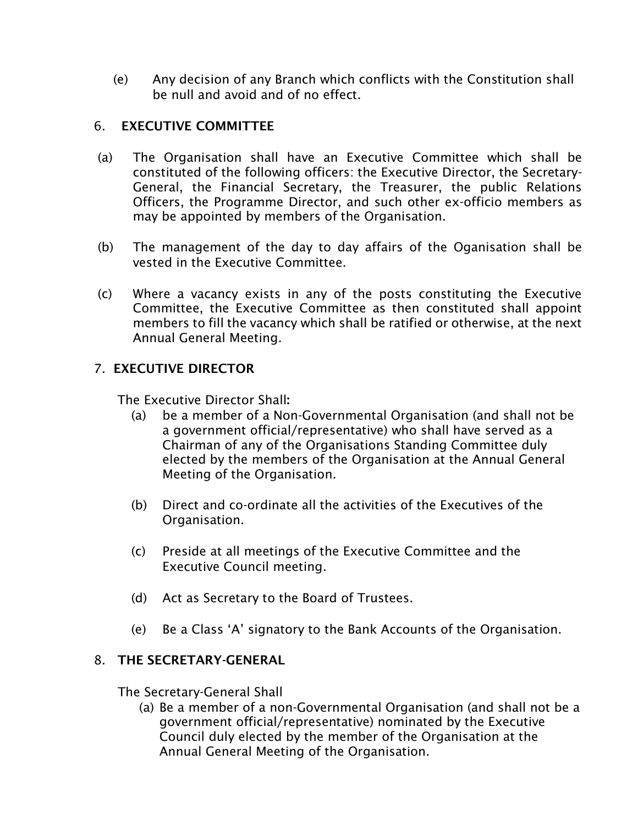(e) Any decision of any Branch which conflicts with the Constitution shall be null and avoid and of no effect.

#### 6. EXECUTIVE COMMITTEE

- (a) The Organisation shall have an Executive Committee which shall be constituted of the following officers: the Executive Director, the Secretary-General, the Financial Secretary, the Treasurer, the public Relations Officers, the Programme Director, and such other ex-officio members as may be appointed by members of the Organisation.
- (b) The management of the day to day affairs of the Oganisation shall be vested in the Executive Committee.
- (c) Where a vacancy exists in any of the posts constituting the Executive Committee, the Executive Committee as then constituted shall appoint members to fill the vacancy which shall be ratified or otherwise, at the next Annual General Meeting.

### 7. EXECUTIVE DIRECTOR

The Executive Director Shall:

- (a) be a member of a Non-Governmental Organisation (and shall not be a government official/representative) who shall have served as a Chairman of any of the Organisations Standing Committee duly elected by the members of the Organisation at the Annual General Meeting of the Organisation.
- (b) Direct and co-ordinate all the activities of the Executives of the Organisation.
- (c) Preside at all meetings of the Executive Committee and the Executive Council meeting.
- (d) Act as Secretary to the Board of Trustees.
- (e) Be a Class 'A' signatory to the Bank Accounts of the Organisation.

#### 8. THE SECRETARY-GENERAL

The Secretary-General Shall

(a) Be a member of a non-Governmental Organisation (and shall not be a government official/representative) nominated by the Executive Council duly elected by the member of the Organisation at the Annual General Meeting of the Organisation.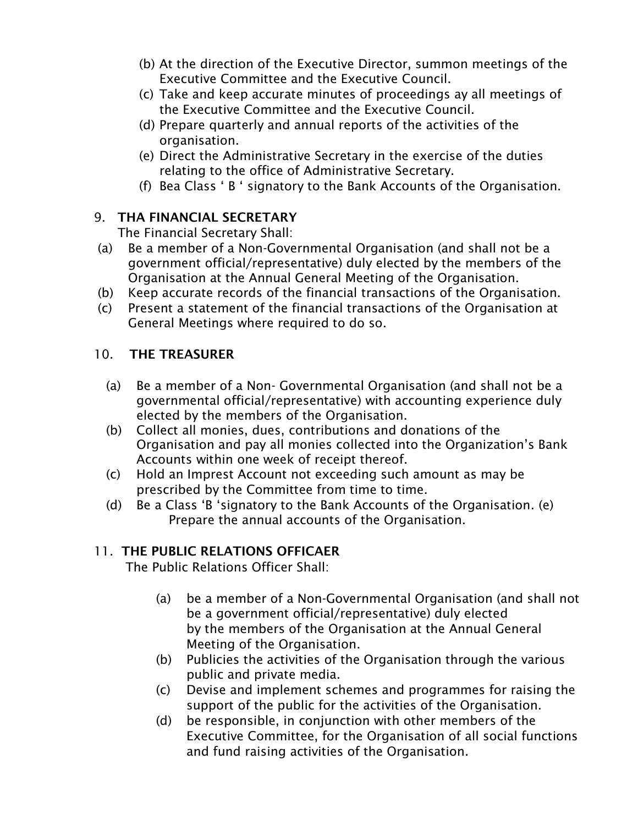- (b) At the direction of the Executive Director, summon meetings of the Executive Committee and the Executive Council.
- (c) Take and keep accurate minutes of proceedings ay all meetings of the Executive Committee and the Executive Council.
- (d) Prepare quarterly and annual reports of the activities of the organisation.
- (e) Direct the Administrative Secretary in the exercise of the duties relating to the office of Administrative Secretary.
- (f) Bea Class ' B ' signatory to the Bank Accounts of the Organisation.

### 9. THA FINANCIAL SECRETARY

The Financial Secretary Shall:

- (a) Be a member of a Non-Governmental Organisation (and shall not be a government official/representative) duly elected by the members of the Organisation at the Annual General Meeting of the Organisation.
- (b) Keep accurate records of the financial transactions of the Organisation.
- (c) Present a statement of the financial transactions of the Organisation at General Meetings where required to do so.

### 10. THE TREASURER

- (a) Be a member of a Non- Governmental Organisation (and shall not be a governmental official/representative) with accounting experience duly elected by the members of the Organisation.
- (b) Collect all monies, dues, contributions and donations of the Organisation and pay all monies collected into the Organization's Bank Accounts within one week of receipt thereof.
- (c) Hold an Imprest Account not exceeding such amount as may be prescribed by the Committee from time to time.
- (d) Be a Class 'B 'signatory to the Bank Accounts of the Organisation. (e) Prepare the annual accounts of the Organisation.

## 11. THE PUBLIC RELATIONS OFFICAER

The Public Relations Officer Shall:

- (a) be a member of a Non-Governmental Organisation (and shall not be a government official/representative) duly elected by the members of the Organisation at the Annual General Meeting of the Organisation.
- (b) Publicies the activities of the Organisation through the various public and private media.
- (c) Devise and implement schemes and programmes for raising the support of the public for the activities of the Organisation.
- (d) be responsible, in conjunction with other members of the Executive Committee, for the Organisation of all social functions and fund raising activities of the Organisation.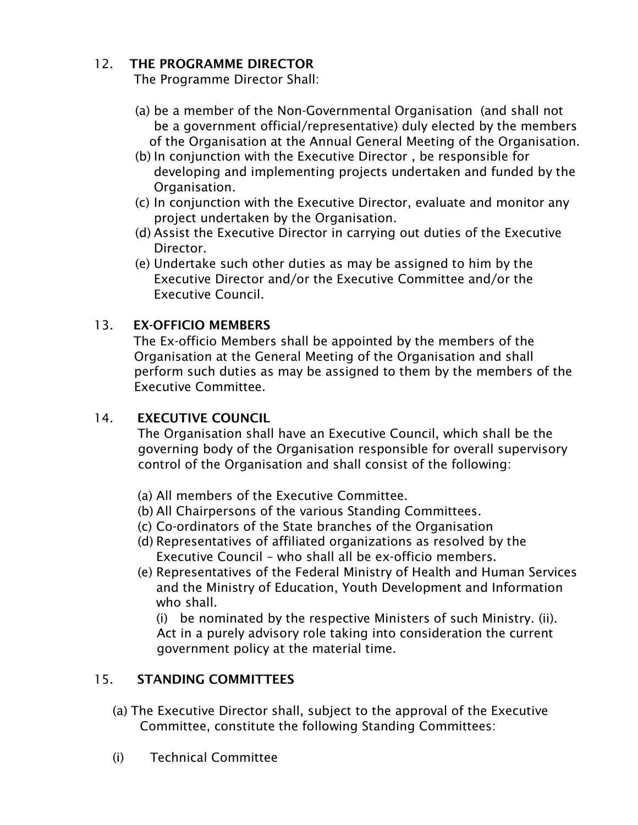## 12 THE PROGRAMME DIRECTOR

The Programme Director Shall:

- (a) be a member of the Non-Governmental Organisation (and shall not be a government official/representative) duly elected by the members of the Organisation at the Annual General Meeting of the Organisation.
- (b) In conjunction with the Executive Director , be responsible for developing and implementing projects undertaken and funded by the Organisation.
- (c) In conjunction with the Executive Director, evaluate and monitor any project undertaken by the Organisation.
- (d) Assist the Executive Director in carrying out duties of the Executive Director.
- (e) Undertake such other duties as may be assigned to him by the Executive Director and/or the Executive Committee and/or the Executive Council.

## 13. EX-OFFICIO MEMBERS

The Ex-officio Members shall be appointed by the members of the Organisation at the General Meeting of the Organisation and shall perform such duties as may be assigned to them by the members of the Executive Committee.

## 14. EXECUTIVE COUNCIL

The Organisation shall have an Executive Council, which shall be the governing body of the Organisation responsible for overall supervisory control of the Organisation and shall consist of the following:

- (a) All members of the Executive Committee.
- (b) All Chairpersons of the various Standing Committees.
- (c) Co-ordinators of the State branches of the Organisation
- (d) Representatives of affiliated organizations as resolved by the Executive Council – who shall all be ex-officio members.
- (e) Representatives of the Federal Ministry of Health and Human Services and the Ministry of Education, Youth Development and Information who shall.

(i) be nominated by the respective Ministers of such Ministry. (ii). Act in a purely advisory role taking into consideration the current government policy at the material time.

## 15. STANDING COMMITTEES

- (a) The Executive Director shall, subject to the approval of the Executive Committee, constitute the following Standing Committees:
- (i) Technical Committee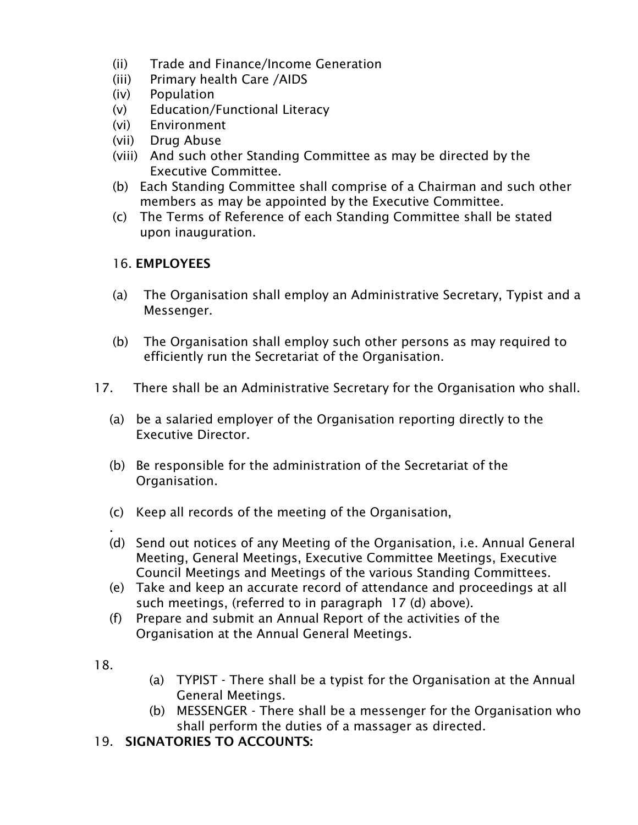- (ii) Trade and Finance/Income Generation
- (iii) Primary health Care /AIDS
- (iv) Population
- (v) Education/Functional Literacy
- (vi) Environment
- (vii) Drug Abuse
- (viii) And such other Standing Committee as may be directed by the Executive Committee.
- (b) Each Standing Committee shall comprise of a Chairman and such other members as may be appointed by the Executive Committee.
- (c) The Terms of Reference of each Standing Committee shall be stated upon inauguration.

### 16. EMPLOYEES

- (a) The Organisation shall employ an Administrative Secretary, Typist and a Messenger.
- (b) The Organisation shall employ such other persons as may required to efficiently run the Secretariat of the Organisation.
- 17. There shall be an Administrative Secretary for the Organisation who shall.
	- (a) be a salaried employer of the Organisation reporting directly to the Executive Director.
	- (b) Be responsible for the administration of the Secretariat of the Organisation.
	- (c) Keep all records of the meeting of the Organisation,
	- (d) Send out notices of any Meeting of the Organisation, i.e. Annual General Meeting, General Meetings, Executive Committee Meetings, Executive Council Meetings and Meetings of the various Standing Committees.
	- (e) Take and keep an accurate record of attendance and proceedings at all such meetings, (referred to in paragraph 17 (d) above).
	- (f) Prepare and submit an Annual Report of the activities of the Organisation at the Annual General Meetings.
- 18.

.

- (a) TYPIST There shall be a typist for the Organisation at the Annual General Meetings.
- (b) MESSENGER There shall be a messenger for the Organisation who shall perform the duties of a massager as directed.
- 19. SIGNATORIES TO ACCOUNTS: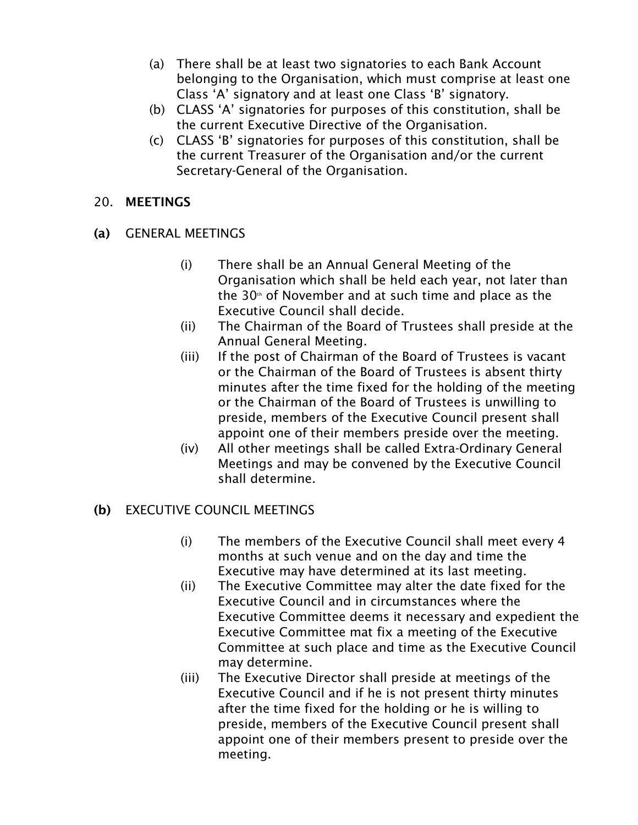- (a) There shall be at least two signatories to each Bank Account belonging to the Organisation, which must comprise at least one Class 'A' signatory and at least one Class 'B' signatory.
- (b) CLASS 'A' signatories for purposes of this constitution, shall be the current Executive Directive of the Organisation.
- (c) CLASS 'B' signatories for purposes of this constitution, shall be the current Treasurer of the Organisation and/or the current Secretary-General of the Organisation.

### 20. MEETINGS

- (a) GENERAL MEETINGS
	- (i) There shall be an Annual General Meeting of the Organisation which shall be held each year, not later than the 30<sup>th</sup> of November and at such time and place as the Executive Council shall decide.
	- (ii) The Chairman of the Board of Trustees shall preside at the Annual General Meeting.
	- (iii) If the post of Chairman of the Board of Trustees is vacant or the Chairman of the Board of Trustees is absent thirty minutes after the time fixed for the holding of the meeting or the Chairman of the Board of Trustees is unwilling to preside, members of the Executive Council present shall appoint one of their members preside over the meeting.
	- (iv) All other meetings shall be called Extra-Ordinary General Meetings and may be convened by the Executive Council shall determine.

## (b) EXECUTIVE COUNCIL MEETINGS

- (i) The members of the Executive Council shall meet every 4 months at such venue and on the day and time the Executive may have determined at its last meeting.
- (ii) The Executive Committee may alter the date fixed for the Executive Council and in circumstances where the Executive Committee deems it necessary and expedient the Executive Committee mat fix a meeting of the Executive Committee at such place and time as the Executive Council may determine.
- (iii) The Executive Director shall preside at meetings of the Executive Council and if he is not present thirty minutes after the time fixed for the holding or he is willing to preside, members of the Executive Council present shall appoint one of their members present to preside over the meeting.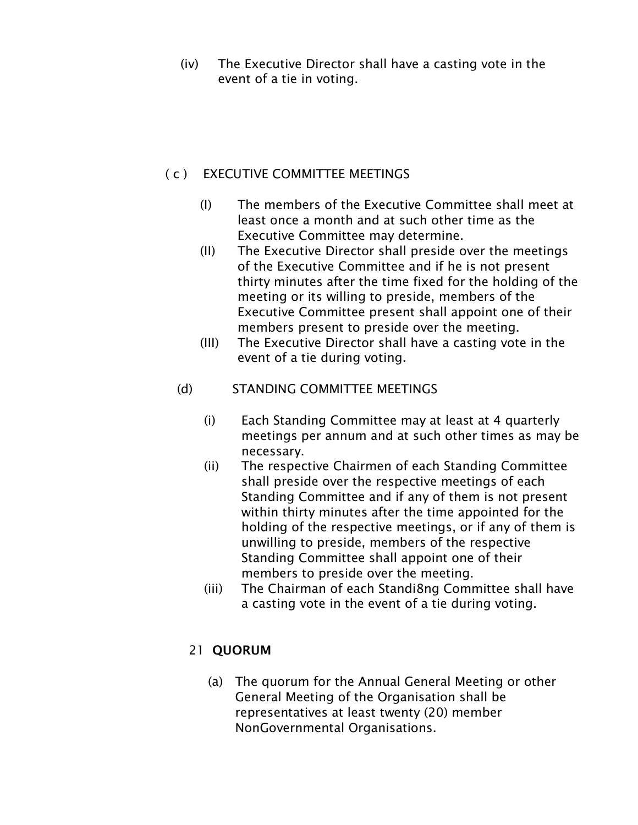(iv) The Executive Director shall have a casting vote in the event of a tie in voting.

### ( c ) EXECUTIVE COMMITTEE MEETINGS

- (I) The members of the Executive Committee shall meet at least once a month and at such other time as the Executive Committee may determine.
- (II) The Executive Director shall preside over the meetings of the Executive Committee and if he is not present thirty minutes after the time fixed for the holding of the meeting or its willing to preside, members of the Executive Committee present shall appoint one of their members present to preside over the meeting.
- (III) The Executive Director shall have a casting vote in the event of a tie during voting.
- (d) STANDING COMMITTEE MEETINGS
	- (i) Each Standing Committee may at least at 4 quarterly meetings per annum and at such other times as may be necessary.
	- (ii) The respective Chairmen of each Standing Committee shall preside over the respective meetings of each Standing Committee and if any of them is not present within thirty minutes after the time appointed for the holding of the respective meetings, or if any of them is unwilling to preside, members of the respective Standing Committee shall appoint one of their members to preside over the meeting.
	- (iii) The Chairman of each Standi8ng Committee shall have a casting vote in the event of a tie during voting.

# 21 QUORUM

(a) The quorum for the Annual General Meeting or other General Meeting of the Organisation shall be representatives at least twenty (20) member NonGovernmental Organisations.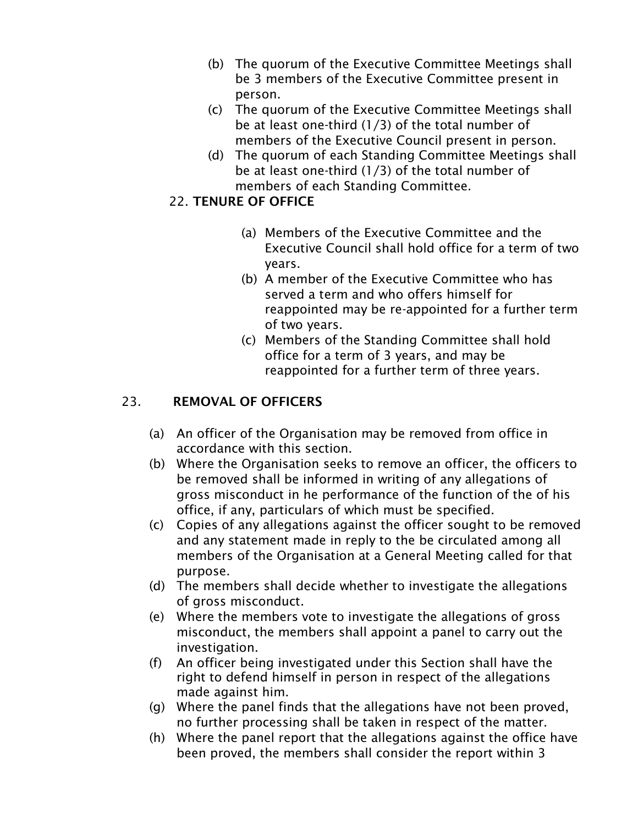- (b) The quorum of the Executive Committee Meetings shall be 3 members of the Executive Committee present in person.
- (c) The quorum of the Executive Committee Meetings shall be at least one-third (1/3) of the total number of members of the Executive Council present in person.
- (d) The quorum of each Standing Committee Meetings shall be at least one-third (1/3) of the total number of members of each Standing Committee.

## 22. TENURE OF OFFICE

- (a) Members of the Executive Committee and the Executive Council shall hold office for a term of two years.
- (b) A member of the Executive Committee who has served a term and who offers himself for reappointed may be re-appointed for a further term of two years.
- (c) Members of the Standing Committee shall hold office for a term of 3 years, and may be reappointed for a further term of three years.

# 23. REMOVAL OF OFFICERS

- (a) An officer of the Organisation may be removed from office in accordance with this section.
- (b) Where the Organisation seeks to remove an officer, the officers to be removed shall be informed in writing of any allegations of gross misconduct in he performance of the function of the of his office, if any, particulars of which must be specified.
- (c) Copies of any allegations against the officer sought to be removed and any statement made in reply to the be circulated among all members of the Organisation at a General Meeting called for that purpose.
- (d) The members shall decide whether to investigate the allegations of gross misconduct.
- (e) Where the members vote to investigate the allegations of gross misconduct, the members shall appoint a panel to carry out the investigation.
- (f) An officer being investigated under this Section shall have the right to defend himself in person in respect of the allegations made against him.
- (g) Where the panel finds that the allegations have not been proved, no further processing shall be taken in respect of the matter.
- (h) Where the panel report that the allegations against the office have been proved, the members shall consider the report within 3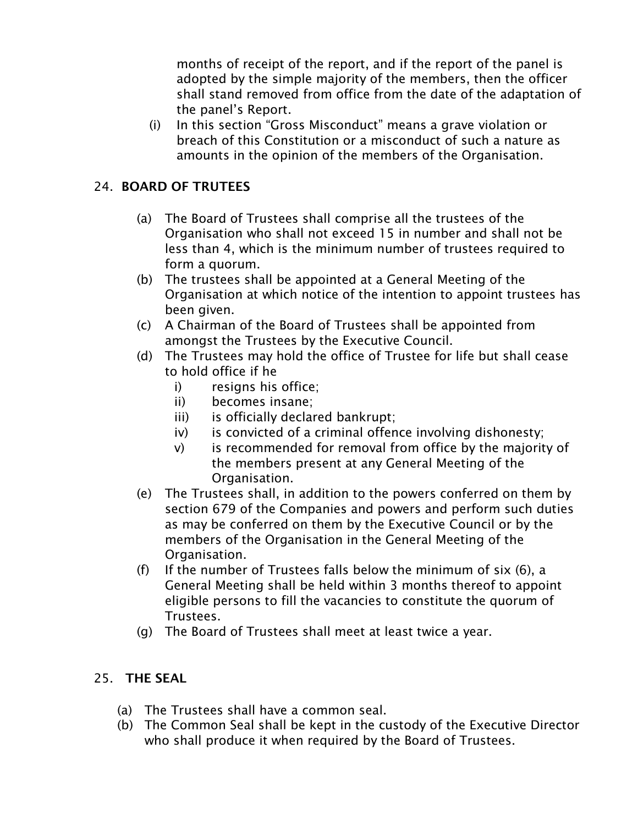months of receipt of the report, and if the report of the panel is adopted by the simple majority of the members, then the officer shall stand removed from office from the date of the adaptation of the panel's Report.

(i) In this section "Gross Misconduct" means a grave violation or breach of this Constitution or a misconduct of such a nature as amounts in the opinion of the members of the Organisation.

### 24. BOARD OF TRUTEES

- (a) The Board of Trustees shall comprise all the trustees of the Organisation who shall not exceed 15 in number and shall not be less than 4, which is the minimum number of trustees required to form a quorum.
- (b) The trustees shall be appointed at a General Meeting of the Organisation at which notice of the intention to appoint trustees has been given.
- (c) A Chairman of the Board of Trustees shall be appointed from amongst the Trustees by the Executive Council.
- (d) The Trustees may hold the office of Trustee for life but shall cease to hold office if he
	- i) resigns his office;
	- ii) becomes insane;
	- iii) is officially declared bankrupt;
	- iv) is convicted of a criminal offence involving dishonesty;
	- v) is recommended for removal from office by the majority of the members present at any General Meeting of the Organisation.
- (e) The Trustees shall, in addition to the powers conferred on them by section 679 of the Companies and powers and perform such duties as may be conferred on them by the Executive Council or by the members of the Organisation in the General Meeting of the Organisation.
- (f) If the number of Trustees falls below the minimum of six (6), a General Meeting shall be held within 3 months thereof to appoint eligible persons to fill the vacancies to constitute the quorum of Trustees.
- (g) The Board of Trustees shall meet at least twice a year.

#### 25. THE SEAL

- (a) The Trustees shall have a common seal.
- (b) The Common Seal shall be kept in the custody of the Executive Director who shall produce it when required by the Board of Trustees.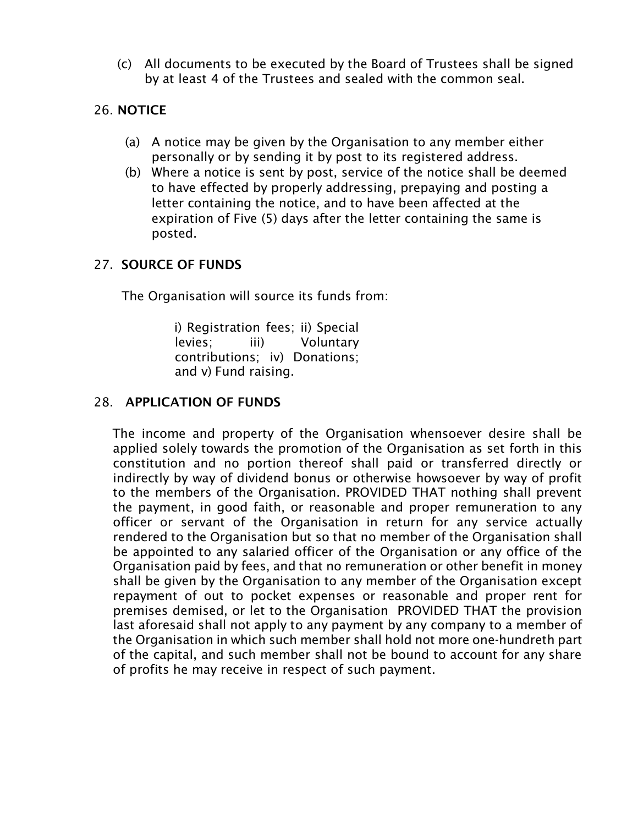(c) All documents to be executed by the Board of Trustees shall be signed by at least 4 of the Trustees and sealed with the common seal.

## 26. NOTICE

- (a) A notice may be given by the Organisation to any member either personally or by sending it by post to its registered address.
- (b) Where a notice is sent by post, service of the notice shall be deemed to have effected by properly addressing, prepaying and posting a letter containing the notice, and to have been affected at the expiration of Five (5) days after the letter containing the same is posted.

#### 27. SOURCE OF FUNDS

The Organisation will source its funds from:

i) Registration fees; ii) Special levies; iii) Voluntary contributions; iv) Donations; and v) Fund raising.

### 28. APPLICATION OF FUNDS

The income and property of the Organisation whensoever desire shall be applied solely towards the promotion of the Organisation as set forth in this constitution and no portion thereof shall paid or transferred directly or indirectly by way of dividend bonus or otherwise howsoever by way of profit to the members of the Organisation. PROVIDED THAT nothing shall prevent the payment, in good faith, or reasonable and proper remuneration to any officer or servant of the Organisation in return for any service actually rendered to the Organisation but so that no member of the Organisation shall be appointed to any salaried officer of the Organisation or any office of the Organisation paid by fees, and that no remuneration or other benefit in money shall be given by the Organisation to any member of the Organisation except repayment of out to pocket expenses or reasonable and proper rent for premises demised, or let to the Organisation PROVIDED THAT the provision last aforesaid shall not apply to any payment by any company to a member of the Organisation in which such member shall hold not more one-hundreth part of the capital, and such member shall not be bound to account for any share of profits he may receive in respect of such payment.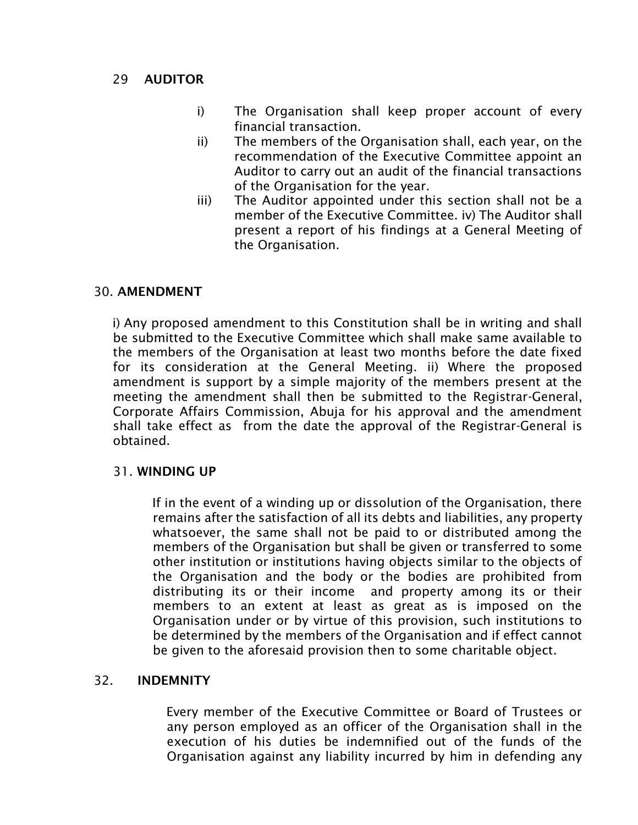#### 29 AUDITOR

- i) The Organisation shall keep proper account of every financial transaction.
- ii) The members of the Organisation shall, each year, on the recommendation of the Executive Committee appoint an Auditor to carry out an audit of the financial transactions of the Organisation for the year.
- iii) The Auditor appointed under this section shall not be a member of the Executive Committee. iv) The Auditor shall present a report of his findings at a General Meeting of the Organisation.

#### 30. AMENDMENT

i) Any proposed amendment to this Constitution shall be in writing and shall be submitted to the Executive Committee which shall make same available to the members of the Organisation at least two months before the date fixed for its consideration at the General Meeting. ii) Where the proposed amendment is support by a simple majority of the members present at the meeting the amendment shall then be submitted to the Registrar-General, Corporate Affairs Commission, Abuja for his approval and the amendment shall take effect as from the date the approval of the Registrar-General is obtained.

#### 31. WINDING UP

If in the event of a winding up or dissolution of the Organisation, there remains after the satisfaction of all its debts and liabilities, any property whatsoever, the same shall not be paid to or distributed among the members of the Organisation but shall be given or transferred to some other institution or institutions having objects similar to the objects of the Organisation and the body or the bodies are prohibited from distributing its or their income and property among its or their members to an extent at least as great as is imposed on the Organisation under or by virtue of this provision, such institutions to be determined by the members of the Organisation and if effect cannot be given to the aforesaid provision then to some charitable object.

#### 32. INDEMNITY

Every member of the Executive Committee or Board of Trustees or any person employed as an officer of the Organisation shall in the execution of his duties be indemnified out of the funds of the Organisation against any liability incurred by him in defending any